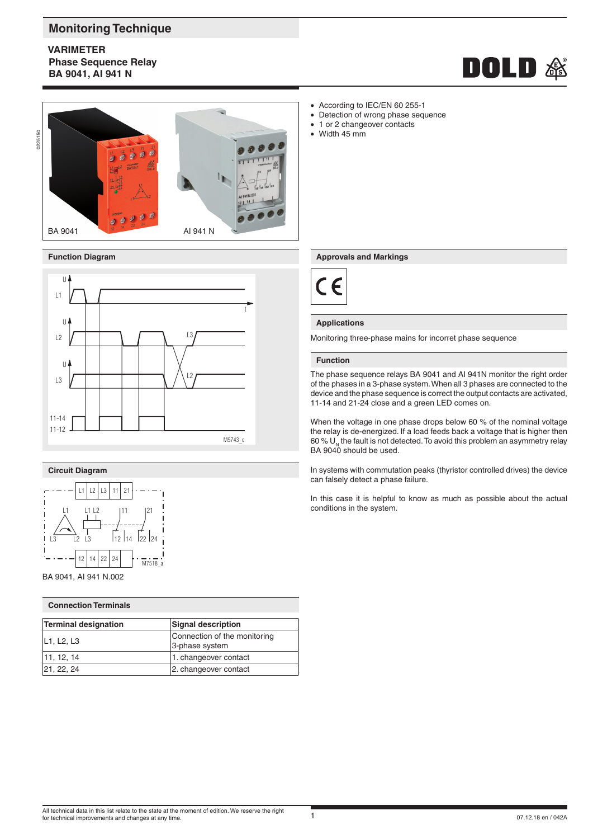# **Monitoring Technique**

**VARIMETER Phase Sequence Relay BA 9041, AI 941 N**







## **Circuit Diagram**



BA 9041, AI 941 N.002

| <b>Connection Terminals</b> |                                                |  |  |  |  |  |
|-----------------------------|------------------------------------------------|--|--|--|--|--|
| Terminal designation        | <b>Signal description</b>                      |  |  |  |  |  |
| L1, L2, L3                  | Connection of the monitoring<br>3-phase system |  |  |  |  |  |
| 11, 12, 14                  | 1. changeover contact                          |  |  |  |  |  |
| 21, 22, 24                  | 2. changeover contact                          |  |  |  |  |  |

- According to IEC/EN 60 255-1<br>• Detection of wrong phase sequently Detection of wrong phase sequence
- 1 or 2 changeover contacts
- Width 45 mm

### **Function Diagram Approvals and Markings**



## **Applications**

Monitoring three-phase mains for incorret phase sequence

### **Function**

The phase sequence relays BA 9041 and AI 941N monitor the right order of the phases in a 3-phase system. When all 3 phases are connected to the device and the phase sequence is correct the output contacts are activated, 11-14 and 21-24 close and a green LED comes on.

When the voltage in one phase drops below 60 % of the nominal voltage the relay is de-energized. If a load feeds back a voltage that is higher then 60 %  $U_{N}$  the fault is not detected. To avoid this problem an asymmetry relay BA 9040 should be used.

In systems with commutation peaks (thyristor controlled drives) the device can falsely detect a phase failure.

In this case it is helpful to know as much as possible about the actual conditions in the system.